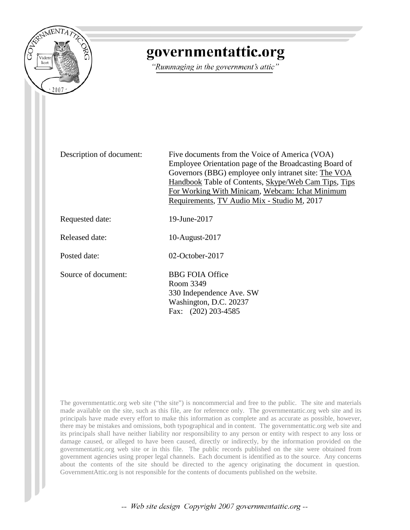

# governmentattic.org

"Rummaging in the government's attic"

Description of document: Five documents from the Voice of America (VOA) Employee Orientation page of the Broadcasting Board of Governors (BBG) employee only intranet site: The VOA Handbook Table of Contents, Skype/Web Cam Tips, Tips For Working With Minicam, Webcam: Ichat Minimum Requirements, TV Audio Mix - Studio M, 2017

Requested date:

Released date:

Posted date:

Source of document:

BBG FOIA Office Room 3349 330 Independence Ave. SW Washington, D.C. 20237 Fax: (202) 203-4585

19-June-2017

10-August-2017

02-October-2017

The governmentattic.org web site ("the site") is noncommercial and free to the public. The site and materials made available on the site, such as this file, are for reference only. The governmentattic.org web site and its principals have made every effort to make this information as complete and as accurate as possible, however, there may be mistakes and omissions, both typographical and in content. The governmentattic.org web site and its principals shall have neither liability nor responsibility to any person or entity with respect to any loss or damage caused, or alleged to have been caused, directly or indirectly, by the information provided on the governmentattic.org web site or in this file. The public records published on the site were obtained from government agencies using proper legal channels. Each document is identified as to the source. Any concerns about the contents of the site should be directed to the agency originating the document in question. GovernmentAttic.org is not responsible for the contents of documents published on the website.

-- Web site design Copyright 2007 governmentattic.org --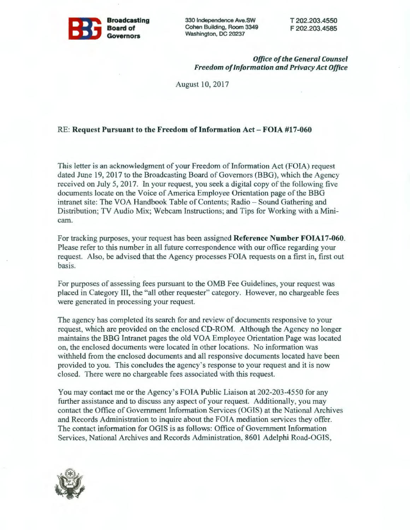

330 Independence Ave.SW Cohen Building, Room 3349 Washington, DC 20237

*Office of the General Counsel Freedom of Information and Privacy Act Office* 

August 10, 2017

### RE: **Request Pursuant to the Freedom of Information Act** - **FOIA #17-060**

This letter is an acknowledgment of your Freedom of Information Act (FOIA) request dated June 19, 2017 to the Broadcasting Board of Governors (BBG), which the Agency received on July 5, 2017. In your request, you seek a digital copy of the following five documents locate on the Voice of America Employee Orientation page of the BBG intranet site: The VOA Handbook Table of Contents; Radio - Sound Gathering and Distribution; TV Audio Mix; Webcam Instructions; and Tips for Working with a Minicam.

For tracking purposes, your request has been assigned **Reference Number FOIAl 7-060.**  Please refer to this number in all future correspondence with our office regarding your request. Also, be advised that the Agency processes FOIA requests on a first in, first out basis.

For purposes of assessing fees pursuant to the 0MB Fee Guidelines, your request was placed in Category III, the "all other requester" category. However, no chargeable fees were generated in processing your request.

The agency has completed its search for and review of documents responsive to your request, which are provided on the enclosed CD-ROM. Although the Agency no longer maintains the BBG Intranet pages the old VOA Employee Orientation Page was located on, the enclosed documents were located in other locations. No information was withheld from the enclosed documents and all responsive documents located have been provided to you. This concludes the agency's response to your request and it is now closed. There were no chargeable fees associated with this request.

You may contact me or the Agency's FOIA Public Liaison at 202-203-4550 for any further assistance and to discuss any aspect of your request. Additionally, you may contact the Office of Government Information Services (OGIS) at the National Archives and Records Administration to inquire about the FOIA mediation services they offer. The contact information for OGIS is as follows: Office of Government Information Services, National Archives and Records Administration, 8601 Adelphi Road-OGIS,

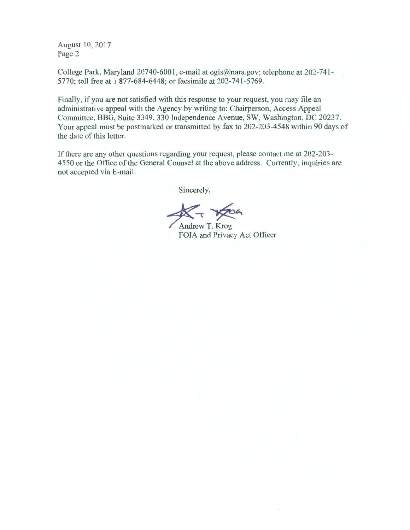August 10, 2017 Page 2

College Park, Maryland 20740-6001, e-mail at ogis@nara.gov; telephone at 202-741-5770; **toll** free at 1 877-684-6448; or facsimile at 202-741-5769.

Finally, if you are not satisfied with this response to your request, you may file an administrative appeal with the Agency by writing to: Chairperson, Access Appeal Committee, BBG, Suite 3349, 330 Independence Avenue, SW, Washington, DC 20237. Your appeal must be postmarked or transmitted by fax to 202-203-4548 within 90 days of the date of this letter.

If there are any other questions regarding your request, please contact me at 202-203- 4550 or the Office of the General Counsel at the above address. Currently, inquiries are not accepted via E-mail.

Sincerely,

 $k - \frac{1}{206}$ 

Andrew T. Krog FOIA and Privacy Act Officer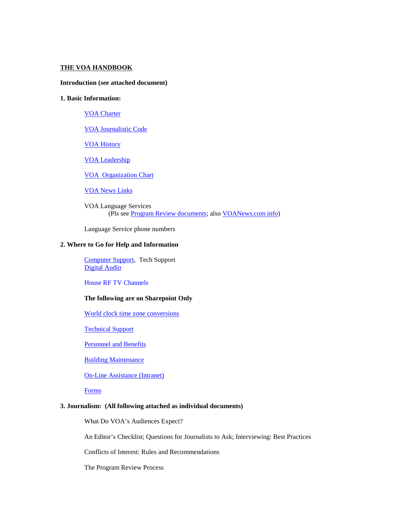#### **THE VOA HANDBOOK**

#### **Introduction (see attached document)**

#### **1. Basic Information:**

VOA Charter

VOA Journalistic Code

VOA History

VOA Leadership

VOA Organization Chart

VOA News Links

VOA Language Services (Pls see Program Review documents; also VOANews.com info)

Language Service phone numbers

#### **2. Where to Go for Help and Information**

Computer Support, Tech Support Digital Audio

House RF TV Channels

#### **The following are on Sharepoint Only**

World clock time zone conversions

Technical Support

Personnel and Benefits

Building Maintenance

On-Line Assistance (Intranet)

Forms

#### **3. Journalism: (All following attached as individual documents)**

What Do VOA's Audiences Expect?

An Editor's Checklist; Questions for Journalists to Ask; Interviewing: Best Practices

Conflicts of Interest: Rules and Recommendations

The Program Review Process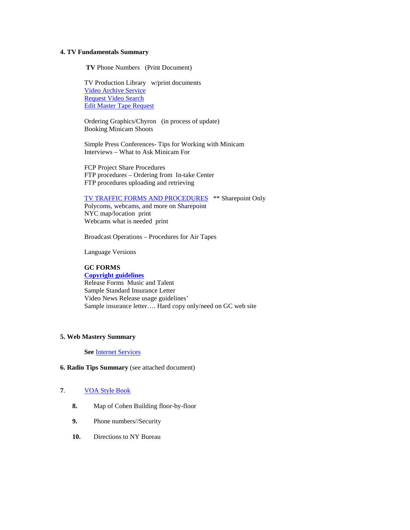#### **4. TV Fundamentals Summary**

 **TV** Phone Numbers (Print Document)

TV Production Library w/print documents Video Archive Service Request Video Search Edit Master Tape Request

Ordering Graphics/Chyron (in process of update) Booking Minicam Shoots

Simple Press Conferences- Tips for Working with Minicam Interviews – What to Ask Minicam For

FCP Project Share Procedures FTP procedures – Ordering from In-take Center FTP procedures uploading and retrieving

TV TRAFFIC FORMS AND PROCEDURES \*\* Sharepoint Only

Polycoms, webcams, and more on Sharepoint NYC map/location print Webcams what is needed print

Broadcast Operations – Procedures for Air Tapes

Language Versions

#### **GC FORMS**

**Copyright guidelines** Release Forms Music and Talent Sample Standard Insurance Letter Video News Release usage guidelines' Sample insurance letter…. Hard copy only/need on GC web site

#### **5. Web Mastery Summary**

**See** Internet Services

#### **6. Radio Tips Summary** (see attached document)

#### **7**. VOA Style Book

- **8.** Map of Cohen Building floor-by-floor
- **9.** Phone numbers//Security
- **10.** Directions to NY Bureau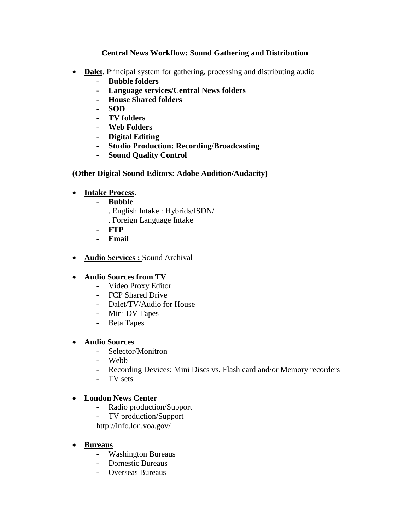### **Central News Workflow: Sound Gathering and Distribution**

- **Dalet**. Principal system for gathering, processing and distributing audio
	- **Bubble folders**
	- **Language services/Central News folders**
	- **House Shared folders**
	- **SOD**
	- **TV folders**
	- **Web Folders**
	- **Digital Editing**
	- **Studio Production: Recording/Broadcasting**
	- **Sound Quality Control**

**(Other Digital Sound Editors: Adobe Audition/Audacity)**

- **Intake Process**.
	- **Bubble**
		- . English Intake : Hybrids/ISDN/
		- . Foreign Language Intake
	- **FTP**
	- **Email**
- **Audio Services :** Sound Archival

### • **Audio Sources from TV**

- Video Proxy Editor
- FCP Shared Drive
- Dalet/TV/Audio for House
- Mini DV Tapes
- Beta Tapes

### • **Audio Sources**

- Selector/Monitron
- Webb
- Recording Devices: Mini Discs vs. Flash card and/or Memory recorders
- TV sets

### • **London News Center**

- Radio production/Support
- TV production/Support
- http://info.lon.voa.gov/
- **Bureaus**
	- Washington Bureaus
	- Domestic Bureaus
	- Overseas Bureaus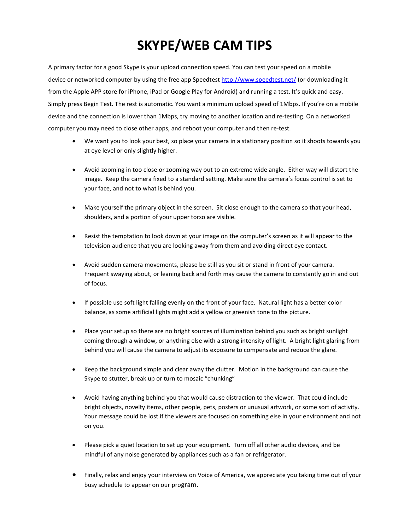# **SKYPE/WEB CAM TIPS**

A primary factor for a good Skype is your upload connection speed. You can test your speed on a mobile device or networked computer by using the free app Speedtest http://www.speedtest.net/ (or downloading it from the Apple APP store for iPhone, iPad or Google Play for Android) and running a test. It's quick and easy. Simply press Begin Test. The rest is automatic. You want a minimum upload speed of 1Mbps. If you're on a mobile device and the connection is lower than 1Mbps, try moving to another location and re-testing. On a networked computer you may need to close other apps, and reboot your computer and then re-test.

- We want you to look your best, so place your camera in a stationary position so it shoots towards you at eye level or only slightly higher.
- Avoid zooming in too close or zooming way out to an extreme wide angle. Either way will distort the image. Keep the camera fixed to a standard setting. Make sure the camera's focus control is set to your face, and not to what is behind you.
- Make yourself the primary object in the screen. Sit close enough to the camera so that your head, shoulders, and a portion of your upper torso are visible.
- Resist the temptation to look down at your image on the computer's screen as it will appear to the television audience that you are looking away from them and avoiding direct eye contact.
- Avoid sudden camera movements, please be still as you sit or stand in front of your camera. Frequent swaying about, or leaning back and forth may cause the camera to constantly go in and out of focus.
- If possible use soft light falling evenly on the front of your face. Natural light has a better color balance, as some artificial lights might add a yellow or greenish tone to the picture.
- Place your setup so there are no bright sources of illumination behind you such as bright sunlight coming through a window, or anything else with a strong intensity of light. A bright light glaring from behind you will cause the camera to adjust its exposure to compensate and reduce the glare.
- Keep the background simple and clear away the clutter. Motion in the background can cause the Skype to stutter, break up or turn to mosaic "chunking"
- Avoid having anything behind you that would cause distraction to the viewer. That could include bright objects, novelty items, other people, pets, posters or unusual artwork, or some sort of activity. Your message could be lost if the viewers are focused on something else in your environment and not on you.
- Please pick a quiet location to set up your equipment. Turn off all other audio devices, and be mindful of any noise generated by appliances such as a fan or refrigerator.
- Finally, relax and enjoy your interview on Voice of America, we appreciate you taking time out of your busy schedule to appear on our program.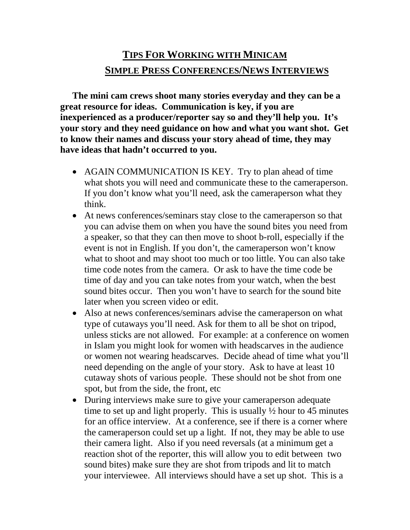# **TIPS FOR WORKING WITH MINICAM SIMPLE PRESS CONFERENCES/NEWS INTERVIEWS**

**The mini cam crews shoot many stories everyday and they can be a great resource for ideas. Communication is key, if you are inexperienced as a producer/reporter say so and they'll help you. It's your story and they need guidance on how and what you want shot. Get to know their names and discuss your story ahead of time, they may have ideas that hadn't occurred to you.**

- AGAIN COMMUNICATION IS KEY. Try to plan ahead of time what shots you will need and communicate these to the cameraperson. If you don't know what you'll need, ask the cameraperson what they think.
- At news conferences/seminars stay close to the cameraperson so that you can advise them on when you have the sound bites you need from a speaker, so that they can then move to shoot b-roll, especially if the event is not in English. If you don't, the cameraperson won't know what to shoot and may shoot too much or too little. You can also take time code notes from the camera. Or ask to have the time code be time of day and you can take notes from your watch, when the best sound bites occur. Then you won't have to search for the sound bite later when you screen video or edit.
- Also at news conferences/seminars advise the cameraperson on what type of cutaways you'll need. Ask for them to all be shot on tripod, unless sticks are not allowed. For example: at a conference on women in Islam you might look for women with headscarves in the audience or women not wearing headscarves. Decide ahead of time what you'll need depending on the angle of your story. Ask to have at least 10 cutaway shots of various people. These should not be shot from one spot, but from the side, the front, etc
- During interviews make sure to give your cameraperson adequate time to set up and light properly. This is usually ½ hour to 45 minutes for an office interview. At a conference, see if there is a corner where the cameraperson could set up a light. If not, they may be able to use their camera light. Also if you need reversals (at a minimum get a reaction shot of the reporter, this will allow you to edit between two sound bites) make sure they are shot from tripods and lit to match your interviewee. All interviews should have a set up shot. This is a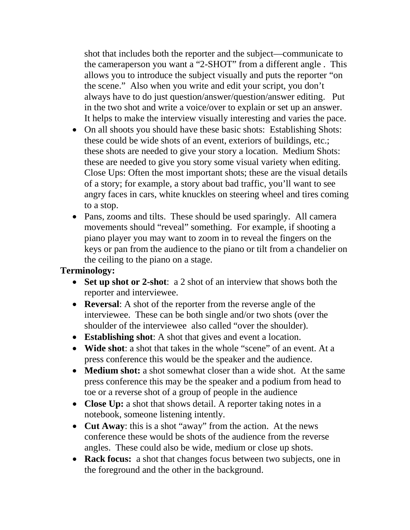shot that includes both the reporter and the subject—communicate to the cameraperson you want a "2-SHOT" from a different angle . This allows you to introduce the subject visually and puts the reporter "on the scene." Also when you write and edit your script, you don't always have to do just question/answer/question/answer editing. Put in the two shot and write a voice/over to explain or set up an answer. It helps to make the interview visually interesting and varies the pace.

- On all shoots you should have these basic shots: Establishing Shots: these could be wide shots of an event, exteriors of buildings, etc.; these shots are needed to give your story a location. Medium Shots: these are needed to give you story some visual variety when editing. Close Ups: Often the most important shots; these are the visual details of a story; for example, a story about bad traffic, you'll want to see angry faces in cars, white knuckles on steering wheel and tires coming to a stop.
- Pans, zooms and tilts. These should be used sparingly. All camera movements should "reveal" something. For example, if shooting a piano player you may want to zoom in to reveal the fingers on the keys or pan from the audience to the piano or tilt from a chandelier on the ceiling to the piano on a stage.

### **Terminology:**

- **Set up shot or 2-shot**: a 2 shot of an interview that shows both the reporter and interviewee.
- **Reversal**: A shot of the reporter from the reverse angle of the interviewee. These can be both single and/or two shots (over the shoulder of the interviewee also called "over the shoulder).
- **Establishing shot**: A shot that gives and event a location.
- **Wide shot**: a shot that takes in the whole "scene" of an event. At a press conference this would be the speaker and the audience.
- **Medium shot:** a shot somewhat closer than a wide shot. At the same press conference this may be the speaker and a podium from head to toe or a reverse shot of a group of people in the audience
- **Close Up:** a shot that shows detail. A reporter taking notes in a notebook, someone listening intently.
- **Cut Away**: this is a shot "away" from the action. At the news conference these would be shots of the audience from the reverse angles. These could also be wide, medium or close up shots.
- **Rack focus:** a shot that changes focus between two subjects, one in the foreground and the other in the background.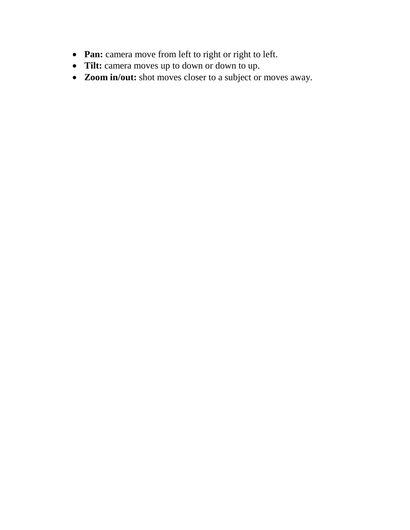- **Pan:** camera move from left to right or right to left.
- **Tilt:** camera moves up to down or down to up.
- **Zoom in/out:** shot moves closer to a subject or moves away.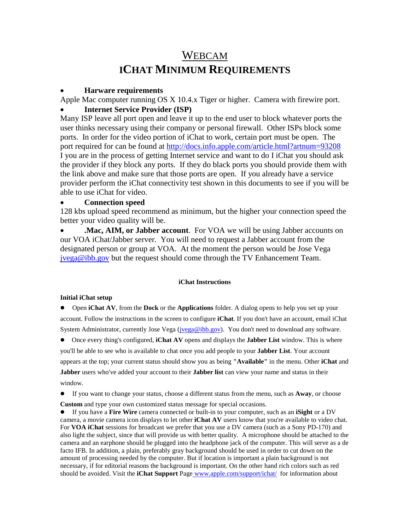## WEBCAM **ICHAT MINIMUM REQUIREMENTS**

### • **Harware requirements**

Apple Mac computer running OS X 10.4.x Tiger or higher. Camera with firewire port.

### • **Internet Service Provider (ISP)**

Many ISP leave all port open and leave it up to the end user to block whatever ports the user thinks necessary using their company or personal firewall. Other ISPs block some ports. In order for the video portion of iChat to work, certain port must be open. The port required for can be found at http://docs.info.apple.com/article.html?artnum=93208 I you are in the process of getting Internet service and want to do I iChat you should ask the provider if they block any ports. If they do black ports you should provide them with the link above and make sure that those ports are open. If you already have a service provider perform the iChat connectivity test shown in this documents to see if you will be able to use iChat for video.

### • **Connection speed**

128 kbs upload speed recommend as minimum, but the higher your connection speed the better your video quality will be.

**Mac, AIM, or Jabber account**. For VOA we will be using Jabber accounts on our VOA iChat/Jabber server. You will need to request a Jabber account from the designated person or group at VOA. At the moment the person would be Jose Vega jvega@ibb.gov but the request should come through the TV Enhancement Team.

#### **iChat Instructions**

### **Initial iChat setup**

 Open **iChat AV**, from the **Dock** or the **Applications** folder. A dialog opens to help you set up your account. Follow the instructions in the screen to configure **iChat**. If you don't have an account, email iChat System Administrator, currently Jose Vega (jvega@ibb.gov). You don't need to download any software.

 Once every thing's configured, **iChat AV** opens and displays the **Jabber List** window. This is where you'll be able to see who is available to chat once you add people to your **Jabber List**. Your account appears at the top; your current status should show you as being **"Available"** in the menu. Other **iChat** and **Jabber** users who've added your account to their **Jabber list** can view your name and status in their window.

If you want to change your status, choose a different status from the menu, such as **Away**, or choose

**Custom** and type your own customized status message for special occasions.

 If you have a **Fire Wire** camera connected or built-in to your computer, such as an **iSight** or a DV camera, a movie camera icon displays to let other **iChat AV** users know that you're available to video chat. For **VOA iChat** sessions for broadcast we prefer that you use a DV camera (such as a Sony PD-170) and also light the subject, since that will provide us with better quality. A microphone should be attached to the camera and an earphone should be plugged into the headphone jack of the computer. This will serve as a de facto IFB. In addition, a plain, preferably gray background should be used in order to cut down on the amount of processing needed by the computer. But if location is important a plain background is not necessary, if for editorial reasons the background is important. On the other hand rich colors such as red should be avoided. Visit the **iChat Support** Page www.apple.com/support/ichat/ for information about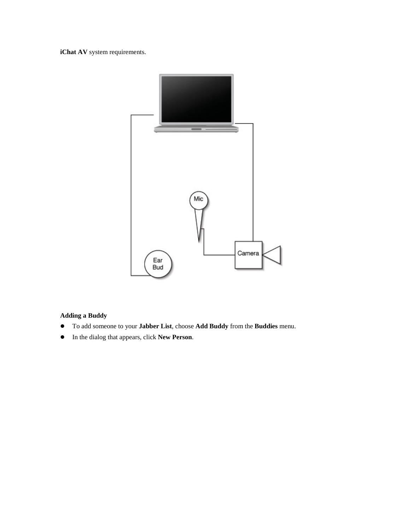**iChat AV** system requirements.



### **Adding a Buddy**

- To add someone to your **Jabber List**, choose **Add Buddy** from the **Buddies** menu.
- In the dialog that appears, click **New Person**.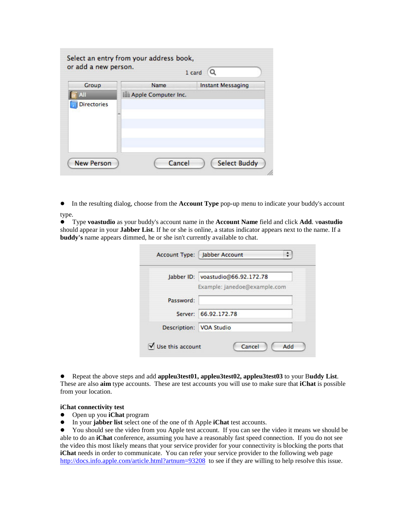| Group              | <b>Name</b>         | <b>Instant Messaging</b> |
|--------------------|---------------------|--------------------------|
| All                | Apple Computer Inc. |                          |
| <b>Directories</b> |                     |                          |
|                    |                     |                          |
|                    |                     |                          |
|                    |                     |                          |
|                    |                     |                          |

 In the resulting dialog, choose from the **Account Type** pop-up menu to indicate your buddy's account type.

 Type **voastudio** as your buddy's account name in the **Account Name** field and click **Add**. v**oastudio** should appear in your **Jabber List**. If he or she is online, a status indicator appears next to the name. If a **buddy's** name appears dimmed, he or she isn't currently available to chat.

|           | Jabber ID: voastudio@66.92.172.78 |  |
|-----------|-----------------------------------|--|
|           | Example: janedoe@example.com      |  |
| Password: |                                   |  |
|           |                                   |  |
|           | Server: 66.92.172.78              |  |
|           | Description: VOA Studio           |  |

 Repeat the above steps and add **appleu3test01, appleu3test02, appleu3test03** to your B**uddy List**. These are also **aim** type accounts. These are test accounts you will use to make sure that **iChat** is possible from your location.

#### **iChat connectivity test**

- Open up you **iChat** program
- In your **jabber list** select one of the one of th Apple **iChat** test accounts.<br>■ You should see the video from you Apple test account. If you can see the

 You should see the video from you Apple test account. If you can see the video it means we should be able to do an **iChat** conference, assuming you have a reasonably fast speed connection. If you do not see the video this most likely means that your service provider for your connectivity is blocking the ports that **iChat** needs in order to communicate. You can refer your service provider to the following web page http://docs.info.apple.com/article.html?artnum=93208 to see if they are willing to help resolve this issue.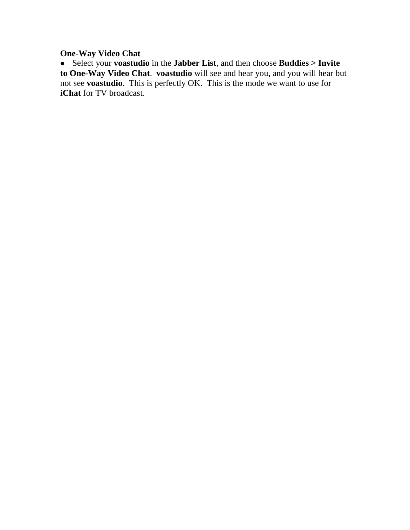### **One-Way Video Chat**

 Select your **voastudio** in the **Jabber List**, and then choose **Buddies > Invite to One-Way Video Chat**. **voastudio** will see and hear you, and you will hear but not see **voastudio**. This is perfectly OK. This is the mode we want to use for **iChat** for TV broadcast.